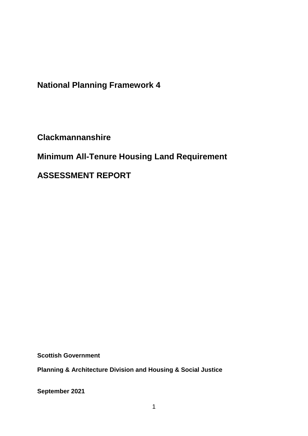**National Planning Framework 4**

**Clackmannanshire**

**Minimum All-Tenure Housing Land Requirement** 

**ASSESSMENT REPORT**

**Scottish Government**

**Planning & Architecture Division and Housing & Social Justice** 

**September 2021**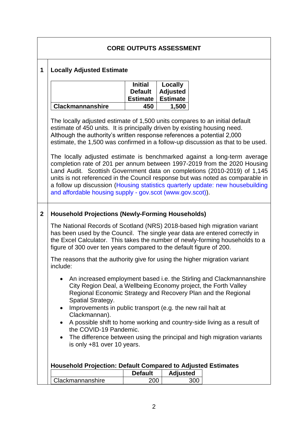# **CORE OUTPUTS ASSESSMENT**

#### **1 Locally Adjusted Estimate**

|                  | <b>Initial</b><br><b>Default</b> | Locally<br><b>Adjusted</b> |
|------------------|----------------------------------|----------------------------|
|                  | Estimate   Estimate              |                            |
| Clackmannanshire | 450                              | 1,500                      |

The locally adjusted estimate of 1,500 units compares to an initial default estimate of 450 units. It is principally driven by existing housing need. Although the authority's written response references a potential 2,000 estimate, the 1,500 was confirmed in a follow-up discussion as that to be used.

The locally adjusted estimate is benchmarked against a long-term average completion rate of 201 per annum between 1997-2019 from the 2020 Housing Land Audit. Scottish Government data on completions (2010-2019) of 1,145 units is not referenced in the Council response but was noted as comparable in a follow up discussion [\(Housing statistics quarterly update: new housebuilding](https://www.gov.scot/publications/housing-statistics-for-scotland-new-house-building/)  [and affordable housing supply -](https://www.gov.scot/publications/housing-statistics-for-scotland-new-house-building/) gov.scot (www.gov.scot)).

#### **2 Household Projections (Newly-Forming Households)**

The National Records of Scotland (NRS) 2018-based high migration variant has been used by the Council. The single year data are entered correctly in the Excel Calculator. This takes the number of newly-forming households to a figure of 300 over ten years compared to the default figure of 200.

The reasons that the authority give for using the higher migration variant include:

- An increased employment based i.e. the Stirling and Clackmannanshire City Region Deal, a Wellbeing Economy project, the Forth Valley Regional Economic Strategy and Recovery Plan and the Regional Spatial Strategy.
- Improvements in public transport (e.g. the new rail halt at Clackmannan).
- A possible shift to home working and country-side living as a result of the COVID-19 Pandemic.
- The difference between using the principal and high migration variants is only +81 over 10 years.

| Household Projection: Default Compared to Adjusted Estimates |                |                 |  |
|--------------------------------------------------------------|----------------|-----------------|--|
|                                                              | <b>Default</b> | <b>Adjusted</b> |  |

|                  | Default | Adiusted |
|------------------|---------|----------|
| Clackmannanshire | 200     | 300      |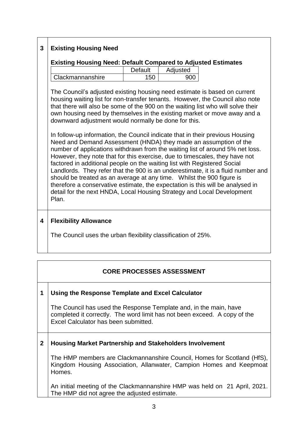# **3 Existing Housing Need**

#### **Existing Housing Need: Default Compared to Adjusted Estimates**

|                         | <b>Default</b> | Adjusted |
|-------------------------|----------------|----------|
| <b>Clackmannanshire</b> | 150            |          |

The Council's adjusted existing housing need estimate is based on current housing waiting list for non-transfer tenants. However, the Council also note that there will also be some of the 900 on the waiting list who will solve their own housing need by themselves in the existing market or move away and a downward adjustment would normally be done for this.

In follow-up information, the Council indicate that in their previous Housing Need and Demand Assessment (HNDA) they made an assumption of the number of applications withdrawn from the waiting list of around 5% net loss. However, they note that for this exercise, due to timescales, they have not factored in additional people on the waiting list with Registered Social Landlords. They refer that the 900 is an underestimate, it is a fluid number and should be treated as an average at any time. Whilst the 900 figure is therefore a conservative estimate, the expectation is this will be analysed in detail for the next HNDA, Local Housing Strategy and Local Development Plan.

# **4 Flexibility Allowance**

The Council uses the urban flexibility classification of 25%.

# **CORE PROCESSES ASSESSMENT**

# **1 Using the Response Template and Excel Calculator**

The Council has used the Response Template and, in the main, have completed it correctly. The word limit has not been exceed. A copy of the Excel Calculator has been submitted.

# **2 Housing Market Partnership and Stakeholders Involvement**

The HMP members are Clackmannanshire Council, Homes for Scotland (HfS), Kingdom Housing Association, Allanwater, Campion Homes and Keepmoat Homes.

An initial meeting of the Clackmannanshire HMP was held on 21 April, 2021. The HMP did not agree the adjusted estimate.